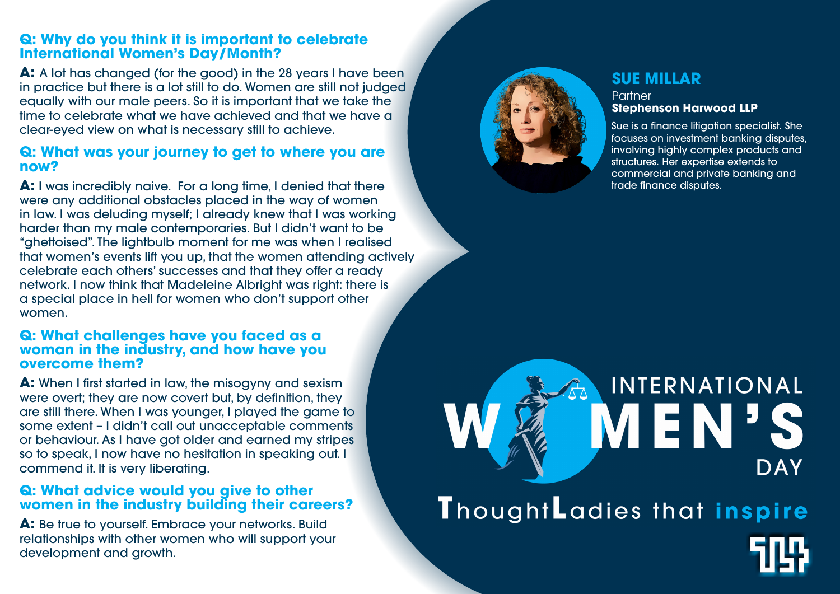# **Q: Why do you think it is important to celebrate International Women's Day/Month?**

**A:** A lot has changed (for the good) in the 28 years I have been in practice but there is a lot still to do. Women are still not judged equally with our male peers. So it is important that we take the time to celebrate what we have achieved and that we have a clear-eyed view on what is necessary still to achieve.

## **Q: What was your journey to get to where you are now?**

**A:** I was incredibly naive. For a long time, I denied that there were any additional obstacles placed in the way of women in law. I was deluding myself; I already knew that I was working harder than my male contemporaries. But I didn't want to be "ghettoised". The lightbulb moment for me was when I realised that women's events lift you up, that the women attending actively celebrate each others' successes and that they offer a ready network. I now think that Madeleine Albright was right: there is a special place in hell for women who don't support other women.

#### **Q: What challenges have you faced as a woman in the industry, and how have you overcome them?**

**A:** When I first started in law, the misogyny and sexism were overt; they are now covert but, by definition, they are still there. When I was younger, I played the game to some extent – I didn't call out unacceptable comments or behaviour. As I have got older and earned my stripes so to speak, I now have no hesitation in speaking out. I commend it. It is very liberating.

# **Q: What advice would you give to other women in the industry building their careers?**

**A:** Be true to yourself. Embrace your networks. Build relationships with other women who will support your development and growth.



**Partner** 



# INTERNATIONAL VIEN. DAY ThoughtLadies that inspire

# **SUE MILLAR**

# **Stephenson Harwood LLP**

Sue is a finance litigation specialist. She focuses on investment banking disputes, involving highly complex products and structures. Her expertise extends to commercial and private banking and trade finance disputes.